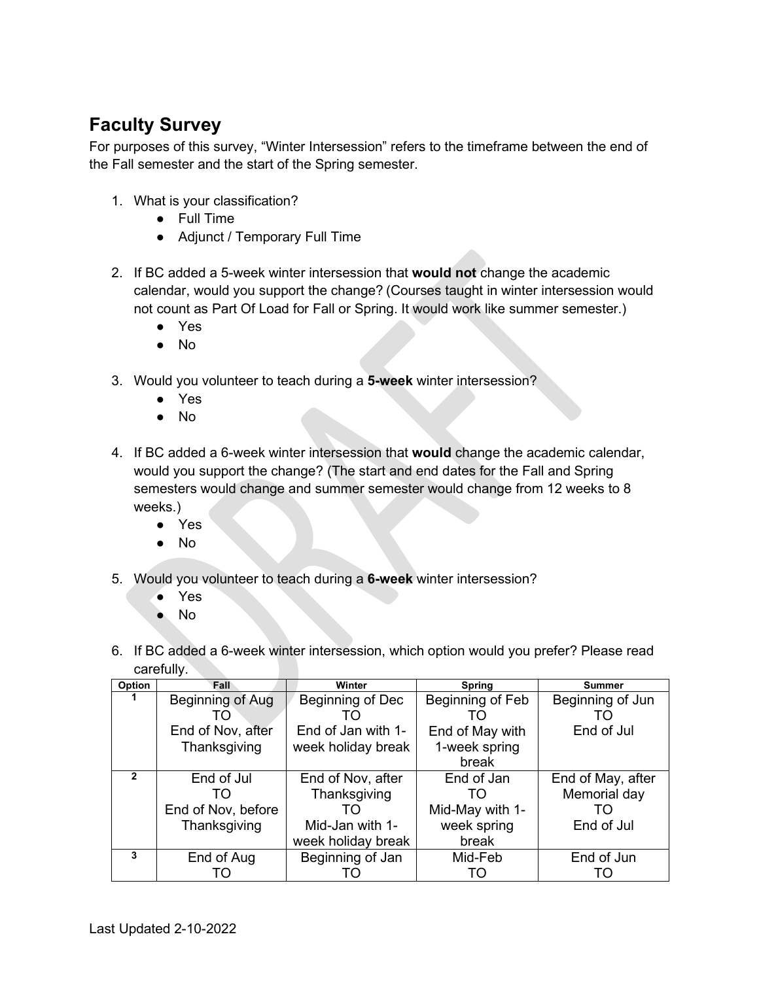## **Faculty Survey**

For purposes of this survey, "Winter Intersession" refers to the timeframe between the end of the Fall semester and the start of the Spring semester.

- 1. What is your classification?
	- Full Time
	- Adjunct / Temporary Full Time
- 2. If BC added a 5-week winter intersession that **would not** change the academic calendar, would you support the change? (Courses taught in winter intersession would not count as Part Of Load for Fall or Spring. It would work like summer semester.)
	- Yes
	- No
- 3. Would you volunteer to teach during a **5-week** winter intersession?
	- Yes
	- No
- 4. If BC added a 6-week winter intersession that **would** change the academic calendar, would you support the change? (The start and end dates for the Fall and Spring semesters would change and summer semester would change from 12 weeks to 8 weeks.)
	- Yes
	- No
- 5. Would you volunteer to teach during a **6-week** winter intersession?
	- Yes
	- No
- 6. If BC added a 6-week winter intersession, which option would you prefer? Please read carefully.

| Option | Fall               | Winter             | <b>Spring</b>    | <b>Summer</b>     |
|--------|--------------------|--------------------|------------------|-------------------|
|        | Beginning of Aug   | Beginning of Dec   | Beginning of Feb | Beginning of Jun  |
|        | TO                 |                    | TΟ               |                   |
|        | End of Nov, after  | End of Jan with 1- | End of May with  | End of Jul        |
|        | Thanksgiving       | week holiday break | 1-week spring    |                   |
|        |                    |                    | break            |                   |
|        | End of Jul         | End of Nov, after  | End of Jan       | End of May, after |
|        | TΟ                 | Thanksgiving       | TΟ               | Memorial day      |
|        | End of Nov, before | TO.                | Mid-May with 1-  | TΟ                |
|        | Thanksgiving       | Mid-Jan with 1-    | week spring      | End of Jul        |
|        |                    | week holiday break | break            |                   |
| 3      | End of Aug         | Beginning of Jan   | Mid-Feb          | End of Jun        |
|        | TO.                |                    | TO               | TO                |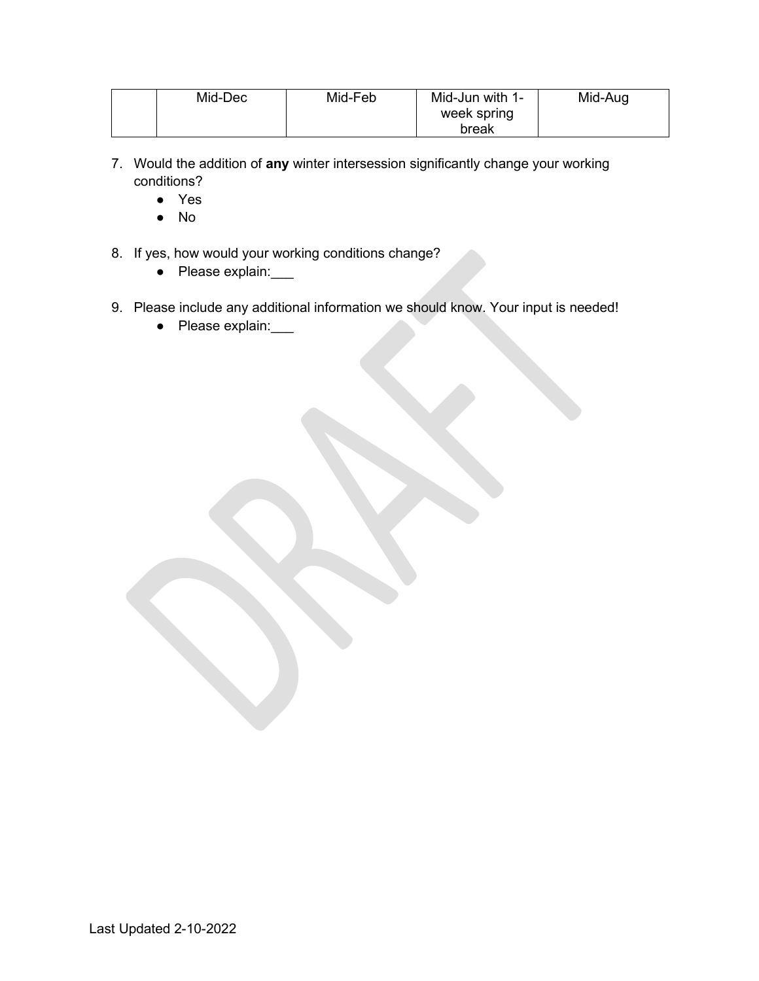| Mid-Dec | Mid-Feb | Mid-Jun with 1-<br>week spring | Mid-Aug |
|---------|---------|--------------------------------|---------|
|         |         | break                          |         |

- 7. Would the addition of **any** winter intersession significantly change your working conditions?
	- Yes
	- No
- 8. If yes, how would your working conditions change?
	- Please explain:
- 9. Please include any additional information we should know. Your input is needed!
	- Please explain: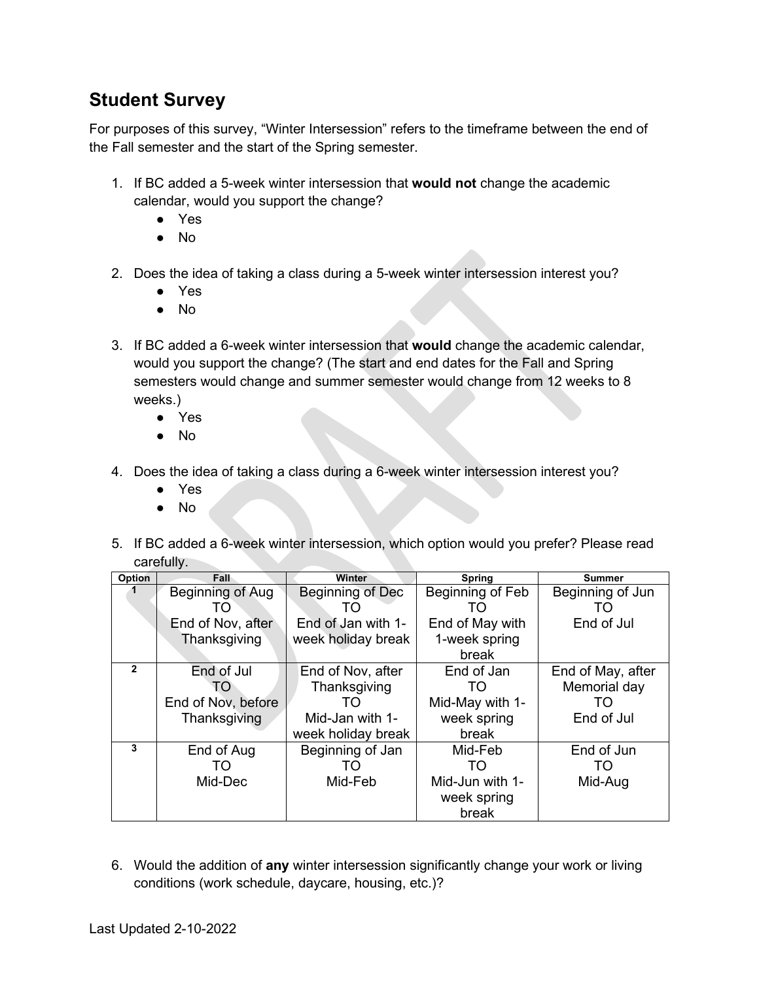## **Student Survey**

For purposes of this survey, "Winter Intersession" refers to the timeframe between the end of the Fall semester and the start of the Spring semester.

- 1. If BC added a 5-week winter intersession that **would not** change the academic calendar, would you support the change?
	- Yes
	- No
- 2. Does the idea of taking a class during a 5-week winter intersession interest you?
	- Yes
	- No
- 3. If BC added a 6-week winter intersession that **would** change the academic calendar, would you support the change? (The start and end dates for the Fall and Spring semesters would change and summer semester would change from 12 weeks to 8 weeks.)
	- Yes
	- No
- 4. Does the idea of taking a class during a 6-week winter intersession interest you?
	- Yes
	- No
- 5. If BC added a 6-week winter intersession, which option would you prefer? Please read carefully.

| Option       | Fall               | Winter                  | <b>Spring</b>    | <b>Summer</b>     |
|--------------|--------------------|-------------------------|------------------|-------------------|
|              | Beginning of Aug   | <b>Beginning of Dec</b> | Beginning of Feb | Beginning of Jun  |
|              | TO.                | TO                      | TO.              | TO                |
|              | End of Nov, after  | End of Jan with 1-      | End of May with  | End of Jul        |
|              | Thanksgiving       | week holiday break      | 1-week spring    |                   |
|              |                    |                         | break            |                   |
| $\mathbf{2}$ | End of Jul         | End of Nov, after       | End of Jan       | End of May, after |
|              | TO                 | Thanksgiving            | TO.              | Memorial day      |
|              | End of Nov, before | TO                      | Mid-May with 1-  | TO                |
|              | Thanksgiving       | Mid-Jan with 1-         | week spring      | End of Jul        |
|              |                    | week holiday break      | break            |                   |
| 3            | End of Aug         | Beginning of Jan        | Mid-Feb          | End of Jun        |
|              | TO                 | TO                      | TO               | TO                |
|              | Mid-Dec            | Mid-Feb                 | Mid-Jun with 1-  | Mid-Aug           |
|              |                    |                         | week spring      |                   |
|              |                    |                         | break            |                   |

6. Would the addition of **any** winter intersession significantly change your work or living conditions (work schedule, daycare, housing, etc.)?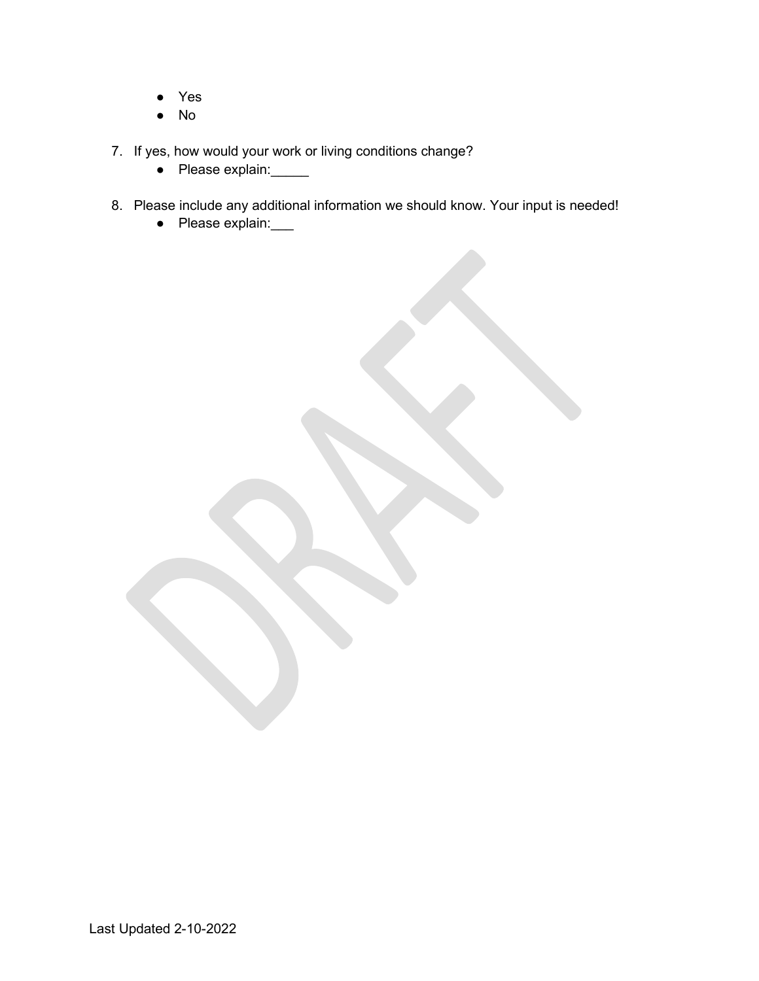- Yes
- No
- 7. If yes, how would your work or living conditions change?
	- Please explain: <u>● Please</u>
- 8. Please include any additional information we should know. Your input is needed!
	- Please explain: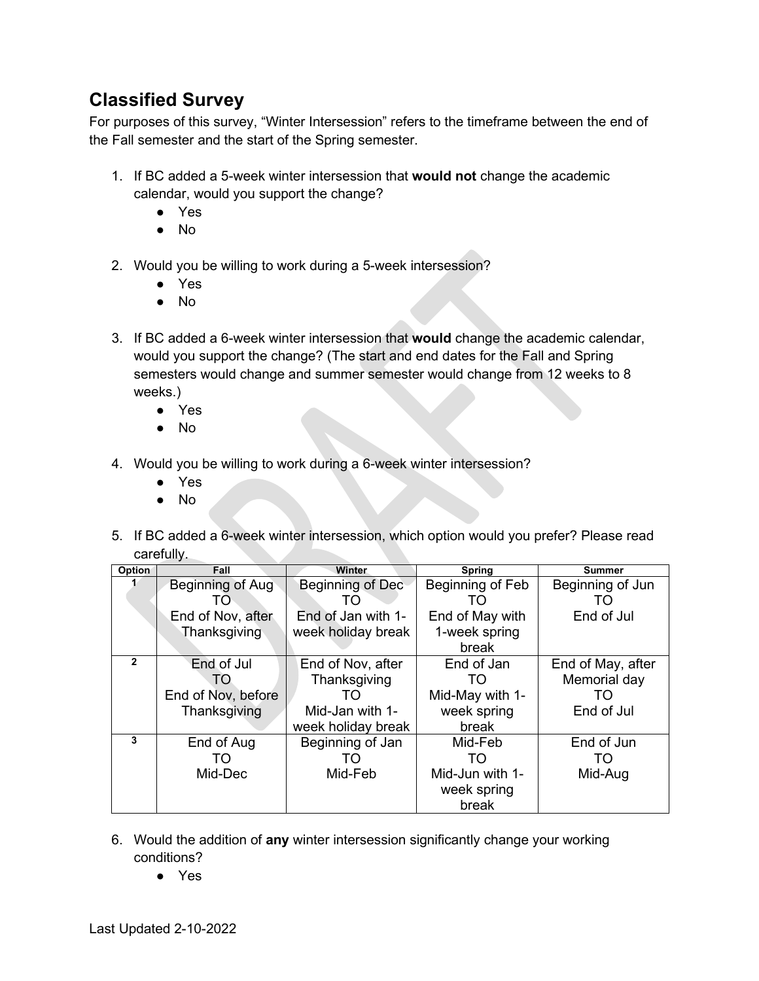## **Classified Survey**

For purposes of this survey, "Winter Intersession" refers to the timeframe between the end of the Fall semester and the start of the Spring semester.

- 1. If BC added a 5-week winter intersession that **would not** change the academic calendar, would you support the change?
	- Yes
	- No
- 2. Would you be willing to work during a 5-week intersession?
	- Yes
	- No
- 3. If BC added a 6-week winter intersession that **would** change the academic calendar, would you support the change? (The start and end dates for the Fall and Spring semesters would change and summer semester would change from 12 weeks to 8 weeks.)
	- Yes
	- No
- 4. Would you be willing to work during a 6-week winter intersession?
	- Yes
	- No
- 5. If BC added a 6-week winter intersession, which option would you prefer? Please read carefully.

| Option       | Fall               | Winter             | Spring           | <b>Summer</b>     |
|--------------|--------------------|--------------------|------------------|-------------------|
|              | Beginning of Aug   | Beginning of Dec   | Beginning of Feb | Beginning of Jun  |
|              | TO.                | TO                 | TO.              | TO                |
|              | End of Nov, after  | End of Jan with 1- | End of May with  | End of Jul        |
|              | Thanksgiving       | week holiday break | 1-week spring    |                   |
|              |                    |                    | break            |                   |
| $\mathbf{2}$ | End of Jul         | End of Nov, after  | End of Jan       | End of May, after |
|              | TO                 | Thanksgiving       | TO.              | Memorial day      |
|              | End of Nov, before | TO                 | Mid-May with 1-  | TO                |
|              | Thanksgiving       | Mid-Jan with 1-    | week spring      | End of Jul        |
|              |                    | week holiday break | break            |                   |
| 3            | End of Aug         | Beginning of Jan   | Mid-Feb          | End of Jun        |
|              | TО                 | TΟ                 | TO.              | TO                |
|              | Mid-Dec            | Mid-Feb            | Mid-Jun with 1-  | Mid-Aug           |
|              |                    |                    | week spring      |                   |
|              |                    |                    | break            |                   |

- 6. Would the addition of **any** winter intersession significantly change your working conditions?
	- Yes